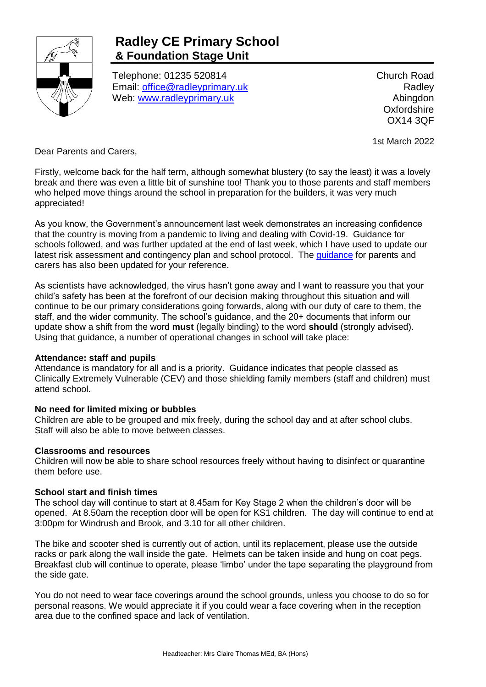

# **Radley CE Primary School & Foundation Stage Unit**

Telephone: 01235 520814 Email: [office@radleyprimary.uk](mailto:office@radleyprimary.uk) Web: [www.radleyprimary.uk](http://www.radleyprimary.uk/)

Church Road **Radley** Abingdon **Oxfordshire** OX14 3QF

1st March 2022

Dear Parents and Carers,

Firstly, welcome back for the half term, although somewhat blustery (to say the least) it was a lovely break and there was even a little bit of sunshine too! Thank you to those parents and staff members who helped move things around the school in preparation for the builders, it was very much appreciated!

As you know, the Government's announcement last week demonstrates an increasing confidence that the country is moving from a pandemic to living and dealing with Covid-19. Guidance for schools followed, and was further updated at the end of last week, which I have used to update our latest risk assessment and contingency plan and school protocol. The [guidance](https://www.gov.uk/government/collections/information-for-parents-and-carers-coronavirus-covid-19) for parents and carers has also been updated for your reference.

As scientists have acknowledged, the virus hasn't gone away and I want to reassure you that your child's safety has been at the forefront of our decision making throughout this situation and will continue to be our primary considerations going forwards, along with our duty of care to them, the staff, and the wider community. The school's guidance, and the 20+ documents that inform our update show a shift from the word **must** (legally binding) to the word **should** (strongly advised). Using that guidance, a number of operational changes in school will take place:

### **Attendance: staff and pupils**

Attendance is mandatory for all and is a priority. Guidance indicates that people classed as Clinically Extremely Vulnerable (CEV) and those shielding family members (staff and children) must attend school.

### **No need for limited mixing or bubbles**

Children are able to be grouped and mix freely, during the school day and at after school clubs. Staff will also be able to move between classes.

### **Classrooms and resources**

Children will now be able to share school resources freely without having to disinfect or quarantine them before use.

### **School start and finish times**

The school day will continue to start at 8.45am for Key Stage 2 when the children's door will be opened. At 8.50am the reception door will be open for KS1 children. The day will continue to end at 3:00pm for Windrush and Brook, and 3.10 for all other children.

The bike and scooter shed is currently out of action, until its replacement, please use the outside racks or park along the wall inside the gate. Helmets can be taken inside and hung on coat pegs. Breakfast club will continue to operate, please 'limbo' under the tape separating the playground from the side gate.

You do not need to wear face coverings around the school grounds, unless you choose to do so for personal reasons. We would appreciate it if you could wear a face covering when in the reception area due to the confined space and lack of ventilation.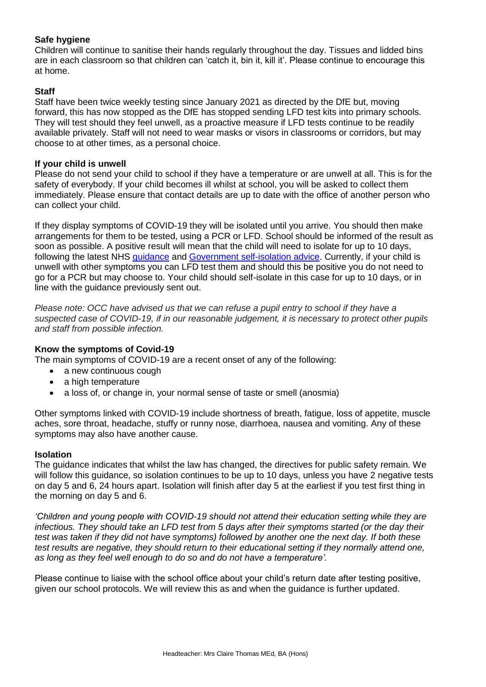## **Safe hygiene**

Children will continue to sanitise their hands regularly throughout the day. Tissues and lidded bins are in each classroom so that children can 'catch it, bin it, kill it'. Please continue to encourage this at home.

### **Staff**

Staff have been twice weekly testing since January 2021 as directed by the DfE but, moving forward, this has now stopped as the DfE has stopped sending LFD test kits into primary schools. They will test should they feel unwell, as a proactive measure if LFD tests continue to be readily available privately. Staff will not need to wear masks or visors in classrooms or corridors, but may choose to at other times, as a personal choice.

#### **If your child is unwell**

Please do not send your child to school if they have a temperature or are unwell at all. This is for the safety of everybody. If your child becomes ill whilst at school, you will be asked to collect them immediately. Please ensure that contact details are up to date with the office of another person who can collect your child.

If they display symptoms of COVID-19 they will be isolated until you arrive. You should then make arrangements for them to be tested, using a PCR or LFD. School should be informed of the result as soon as possible. A positive result will mean that the child will need to isolate for up to 10 days, following the latest NHS [guidance](https://www.nhs.uk/conditions/coronavirus-covid-19/self-isolation-and-treatment/when-to-self-isolate-and-what-to-do/) and [Government self-isolation advice.](https://www.gov.uk/government/publications/covid-19-people-with-covid-19-and-their-contacts/covid-19-people-with-covid-19-and-their-contacts) Currently, if your child is unwell with other symptoms you can LFD test them and should this be positive you do not need to go for a PCR but may choose to. Your child should self-isolate in this case for up to 10 days, or in line with the guidance previously sent out.

*Please note: OCC have advised us that we can refuse a pupil entry to school if they have a suspected case of COVID-19, if in our reasonable judgement, it is necessary to protect other pupils and staff from possible infection.* 

### **Know the symptoms of Covid-19**

The main symptoms of COVID-19 are a recent onset of any of the following:

- a new continuous cough
- a high temperature
- a loss of, or change in, your normal sense of taste or smell (anosmia)

Other symptoms linked with COVID-19 include shortness of breath, fatigue, loss of appetite, muscle aches, sore throat, headache, stuffy or runny nose, diarrhoea, nausea and vomiting. Any of these symptoms may also have another cause.

### **Isolation**

The guidance indicates that whilst the law has changed, the directives for public safety remain. We will follow this guidance, so isolation continues to be up to 10 days, unless you have 2 negative tests on day 5 and 6, 24 hours apart. Isolation will finish after day 5 at the earliest if you test first thing in the morning on day 5 and 6.

*'Children and young people with COVID-19 should not attend their education setting while they are infectious. They should take an LFD test from 5 days after their symptoms started (or the day their test was taken if they did not have symptoms) followed by another one the next day. If both these test results are negative, they should return to their educational setting if they normally attend one, as long as they feel well enough to do so and do not have a temperature'.*

Please continue to liaise with the school office about your child's return date after testing positive, given our school protocols. We will review this as and when the guidance is further updated.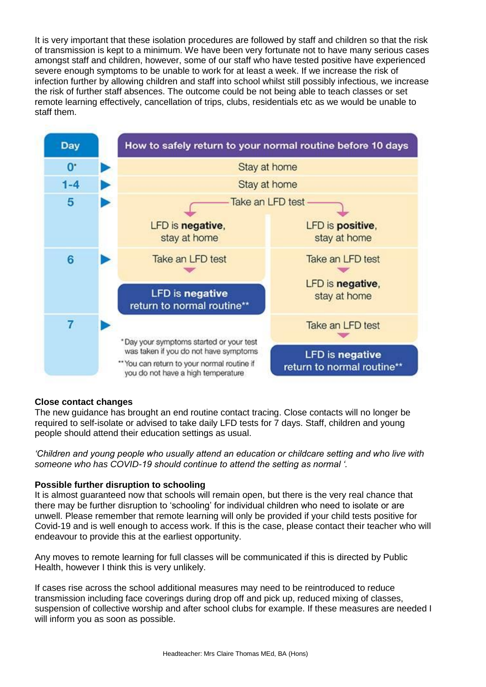It is very important that these isolation procedures are followed by staff and children so that the risk of transmission is kept to a minimum. We have been very fortunate not to have many serious cases amongst staff and children, however, some of our staff who have tested positive have experienced severe enough symptoms to be unable to work for at least a week. If we increase the risk of infection further by allowing children and staff into school whilst still possibly infectious, we increase the risk of further staff absences. The outcome could be not being able to teach classes or set remote learning effectively, cancellation of trips, clubs, residentials etc as we would be unable to staff them.



### **Close contact changes**

The new guidance has brought an end routine contact tracing. Close contacts will no longer be required to self-isolate or advised to take daily LFD tests for 7 days. Staff, children and young people should attend their education settings as usual.

*'Children and young people who usually attend an education or childcare setting and who live with someone who has COVID-19 should continue to attend the setting as normal '.*

#### **Possible further disruption to schooling**

It is almost guaranteed now that schools will remain open, but there is the very real chance that there may be further disruption to 'schooling' for individual children who need to isolate or are unwell. Please remember that remote learning will only be provided if your child tests positive for Covid-19 and is well enough to access work. If this is the case, please contact their teacher who will endeavour to provide this at the earliest opportunity.

Any moves to remote learning for full classes will be communicated if this is directed by Public Health, however I think this is very unlikely.

If cases rise across the school additional measures may need to be reintroduced to reduce transmission including face coverings during drop off and pick up, reduced mixing of classes, suspension of collective worship and after school clubs for example. If these measures are needed I will inform you as soon as possible.